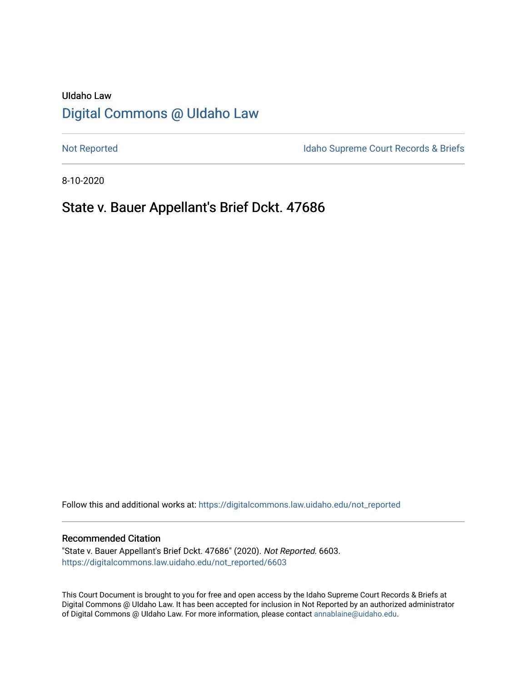# UIdaho Law [Digital Commons @ UIdaho Law](https://digitalcommons.law.uidaho.edu/)

[Not Reported](https://digitalcommons.law.uidaho.edu/not_reported) **Idaho Supreme Court Records & Briefs** 

8-10-2020

# State v. Bauer Appellant's Brief Dckt. 47686

Follow this and additional works at: [https://digitalcommons.law.uidaho.edu/not\\_reported](https://digitalcommons.law.uidaho.edu/not_reported?utm_source=digitalcommons.law.uidaho.edu%2Fnot_reported%2F6603&utm_medium=PDF&utm_campaign=PDFCoverPages) 

### Recommended Citation

"State v. Bauer Appellant's Brief Dckt. 47686" (2020). Not Reported. 6603. [https://digitalcommons.law.uidaho.edu/not\\_reported/6603](https://digitalcommons.law.uidaho.edu/not_reported/6603?utm_source=digitalcommons.law.uidaho.edu%2Fnot_reported%2F6603&utm_medium=PDF&utm_campaign=PDFCoverPages)

This Court Document is brought to you for free and open access by the Idaho Supreme Court Records & Briefs at Digital Commons @ UIdaho Law. It has been accepted for inclusion in Not Reported by an authorized administrator of Digital Commons @ UIdaho Law. For more information, please contact [annablaine@uidaho.edu](mailto:annablaine@uidaho.edu).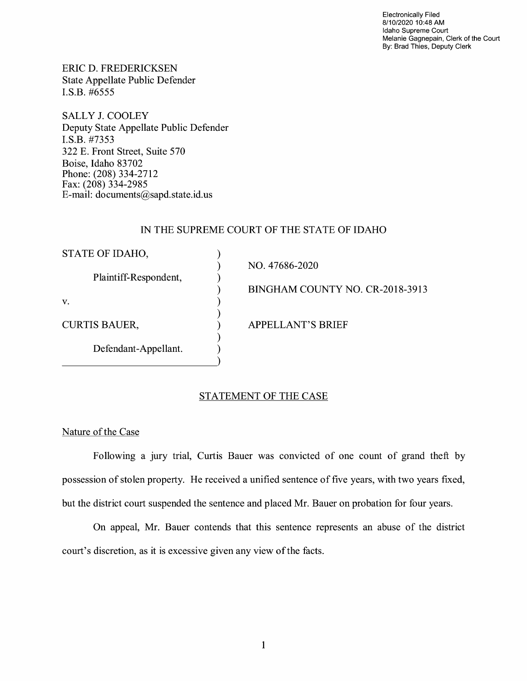Electronically Filed 8/10/2020 10:48 AM Idaho Supreme Court Melanie Gagnepain, Clerk of the Court By: Brad Thies, Deputy Clerk

ERIC D. FREDERICKSEN State Appellate Public Defender I.S.B. #6555

SALLY J. COOLEY Deputy State Appellate Public Defender I.S.B. #7353 322 E. Front Street, Suite 570 Boise, Idaho 83702 Phone: (208) 334-2712 Fax: (208) 334-2985 E-mail: documents@sapd.state.id. us

### IN THE SUPREME COURT OF THE STATE OF IDAHO

| STATE OF IDAHO,       |                                 |
|-----------------------|---------------------------------|
| Plaintiff-Respondent, | NO. 47686-2020                  |
|                       | BINGHAM COUNTY NO. CR-2018-3913 |
| V.                    |                                 |
| <b>CURTIS BAUER,</b>  | <b>APPELLANT'S BRIEF</b>        |
| Defendant-Appellant.  |                                 |

### STATEMENT OF THE CASE

Nature of the Case

Following a jury trial, Curtis Bauer was convicted of one count of grand theft by possession of stolen property. He received a unified sentence of five years, with two years fixed, but the district court suspended the sentence and placed Mr. Bauer on probation for four years.

On appeal, Mr. Bauer contends that this sentence represents an abuse of the district court's discretion, as it is excessive given any view of the facts.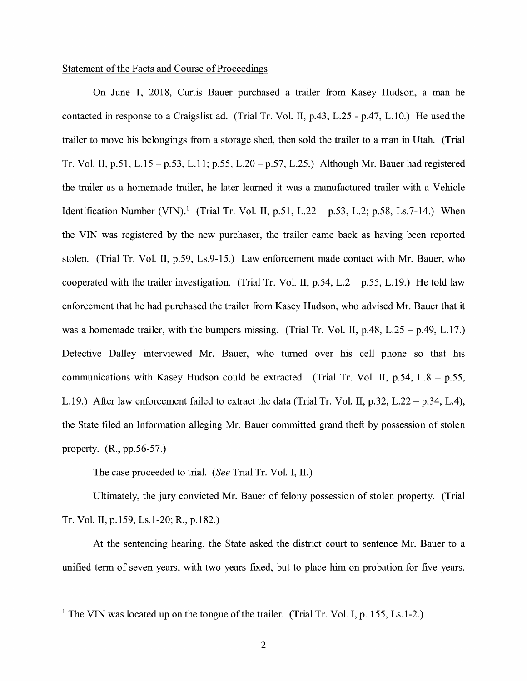### Statement of the Facts and Course of Proceedings

On June 1, 2018, Curtis Bauer purchased a trailer from Kasey Hudson, a man he contacted in response to a Craigslist ad. (Trial Tr. Vol. II,  $p.43$ , L.25 -  $p.47$ , L.10.) He used the trailer to move his belongings from a storage shed, then sold the trailer to a man in Utah. (Trial Tr. Vol. II, p.51, L.15 – p.53, L.11; p.55, L.20 – p.57, L.25.) Although Mr. Bauer had registered the trailer as a homemade trailer, he later learned it was a manufactured trailer with a Vehicle Identification Number (VIN).<sup>1</sup> (Trial Tr. Vol. II, p.51, L.22 – p.53, L.2; p.58, Ls.7-14.) When the VIN was registered by the new purchaser, the trailer came back as having been reported stolen. (Trial Tr. Vol. II, p.59, Ls.9-15.) Law enforcement made contact with Mr. Bauer, who cooperated with the trailer investigation. (Trial Tr. Vol. II,  $p.54$ , L.2 –  $p.55$ , L.19.) He told law enforcement that he had purchased the trailer from Kasey Hudson, who advised Mr. Bauer that it was a homemade trailer, with the bumpers missing. (Trial Tr. Vol. II,  $p.48$ , L.25 -  $p.49$ , L.17.) Detective Dalley interviewed Mr. Bauer, who turned over his cell phone so that his communications with Kasey Hudson could be extracted. (Trial Tr. Vol. II,  $p.54$ , L.8 -  $p.55$ , L.19.) After law enforcement failed to extract the data (Trial Tr. Vol. II, p.32, L.22 – p.34, L.4), the State filed an Information alleging Mr. Bauer committed grand theft by possession of stolen property. (R., pp.56-57.)

The case proceeded to trial. *(See* Trial Tr. Vol. I, II.)

Ultimately, the jury convicted Mr. Bauer of felony possession of stolen property. (Trial Tr. Vol. II, p.159, Ls.1-20; R., p.182.)

At the sentencing hearing, the State asked the district court to sentence Mr. Bauer to a unified term of seven years, with two years fixed, but to place him on probation for five years.

<sup>&</sup>lt;sup>1</sup> The VIN was located up on the tongue of the trailer. (Trial Tr. Vol. I, p. 155, Ls. 1-2.)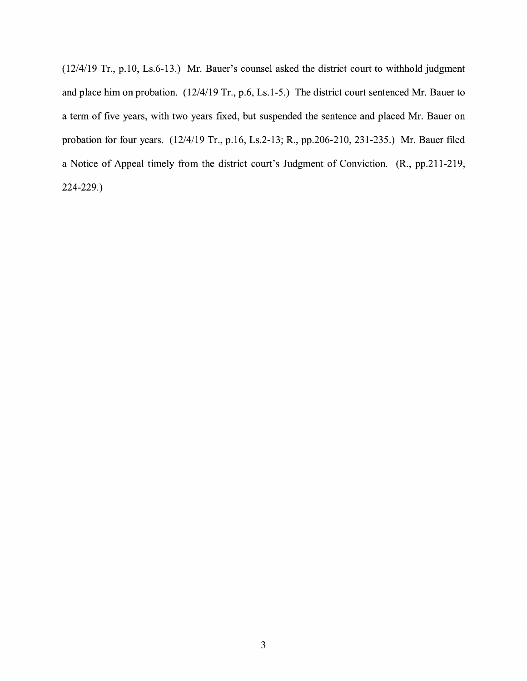(12/4/19 Tr., p.10, Ls.6-13.) Mr. Bauer's counsel asked the district court to withhold judgment and place him on probation. (12/4/19 Tr., p.6, Ls.1-5.) The district court sentenced Mr. Bauer to a term of five years, with two years fixed, but suspended the sentence and placed Mr. Bauer on probation for four years. (12/4/19 Tr., p.16, Ls.2-13; R., pp.206-210, 231-235.) Mr. Bauer filed a Notice of Appeal timely from the district court's Judgment of Conviction. (R., pp.211-219, 224-229.)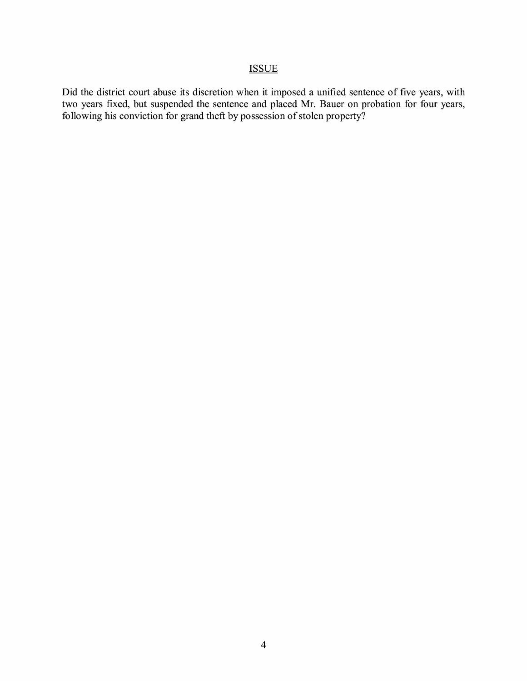## **ISSUE**

Did the district court abuse its discretion when it imposed a unified sentence of five years, with two years fixed, but suspended the sentence and placed Mr. Bauer on probation for four years, following his conviction for grand theft by possession of stolen property?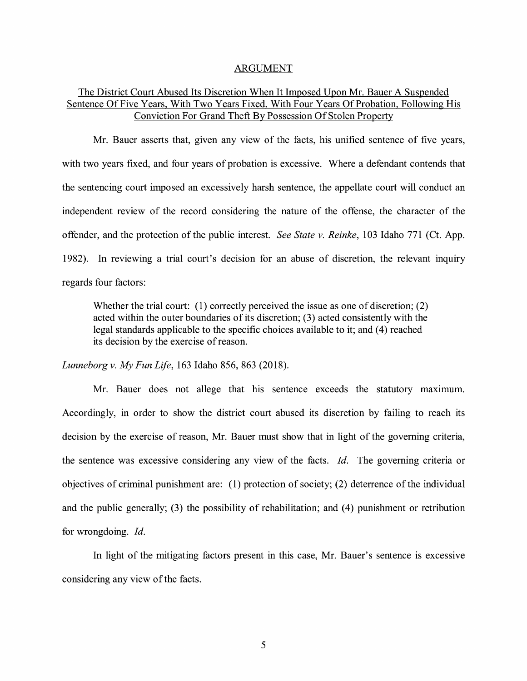#### ARGUMENT

## The District Court Abused Its Discretion When It Imposed Upon Mr. Bauer A Suspended Sentence Of Five Years, With Two Years Fixed, With Four Years Of Probation, Following His Conviction For Grand Theft By Possession Of Stolen Property

Mr. Bauer asserts that, given any view of the facts, his unified sentence of five years, with two years fixed, and four years of probation is excessive. Where a defendant contends that the sentencing court imposed an excessively harsh sentence, the appellate court will conduct an independent review of the record considering the nature of the offense, the character of the offender, and the protection of the public interest. *See State v. Reinke,* 103 Idaho 771 (Ct. App. 1982). In reviewing a trial court's decision for an abuse of discretion, the relevant inquiry regards four factors:

Whether the trial court: (1) correctly perceived the issue as one of discretion; (2) acted within the outer boundaries of its discretion; (3) acted consistently with the legal standards applicable to the specific choices available to it; and ( 4) reached its decision by the exercise of reason.

*Lunneborg v. My Fun Life,* 163 Idaho 856, 863 (2018).

Mr. Bauer does not allege that his sentence exceeds the statutory maximum. Accordingly, in order to show the district court abused its discretion by failing to reach its decision by the exercise of reason, Mr. Bauer must show that in light of the governing criteria, the sentence was excessive considering any view of the facts. *Id.* The governing criteria or objectives of criminal punishment are: (1) protection of society; (2) deterrence of the individual and the public generally; (3) the possibility of rehabilitation; and (4) punishment or retribution for wrongdoing. Id.

In light of the mitigating factors present in this case, Mr. Bauer's sentence is excessive considering any view of the facts.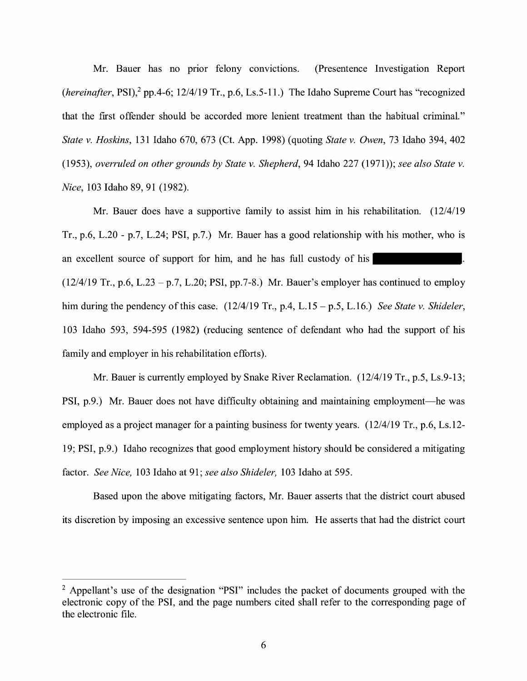Mr. Bauer has no prior felony convictions. (Presentence Investigation Report *(hereinafter, PSI)*,<sup>2</sup> pp.4-6;  $12/4/19$  Tr., p.6, Ls.5-11.) The Idaho Supreme Court has "recognized that the first offender should be accorded more lenient treatment than the habitual criminal." *State v. Hoskins,* 131 Idaho 670, 673 (Ct. App. 1998) ( quoting *State v. Owen,* 73 Idaho 394, 402 (1953), *overruled on other grounds by State v. Shepherd,* 94 Idaho 227 (1971)); *see also State v. Nice,* 103 Idaho 89, 91 (1982).

Mr. Bauer does have a supportive family to assist him in his rehabilitation. (12/4/19 Tr., p.6, L.20 - p.7, L.24; PSI, p.7.) Mr. Bauer has a good relationship with his mother, who is an excellent source of support for him, and he has full custody of his  $(12/4/19$  Tr., p.6, L.23 – p.7, L.20; PSI, pp.7-8.) Mr. Bauer's employer has continued to employ him during the pendency of this case. (12/4/19 Tr., p.4, L.15 - p.5, L.16.) *See State v. Shideler,*  103 Idaho 593, 594-595 (1982) (reducing sentence of defendant who had the support of his family and employer in his rehabilitation efforts).

Mr. Bauer is currently employed by Snake River Reclamation. (12/4/19 Tr., p.5, Ls.9-13; PSI, p.9.) Mr. Bauer does not have difficulty obtaining and maintaining employment—he was employed as a project manager for a painting business for twenty years. (12/4/19 Tr., p.6, Ls.12- 19; PSI, p.9.) Idaho recognizes that good employment history should be considered a mitigating factor. *See Nice,* 103 Idaho at 91; *see also Shideler,* 103 Idaho at 595.

Based upon the above mitigating factors, Mr. Bauer asserts that the district court abused its discretion by imposing an excessive sentence upon him. He asserts that had the district court

<sup>&</sup>lt;sup>2</sup> Appellant's use of the designation "PSI" includes the packet of documents grouped with the electronic copy of the PSI, and the page numbers cited shall refer to the corresponding page of the electronic file.